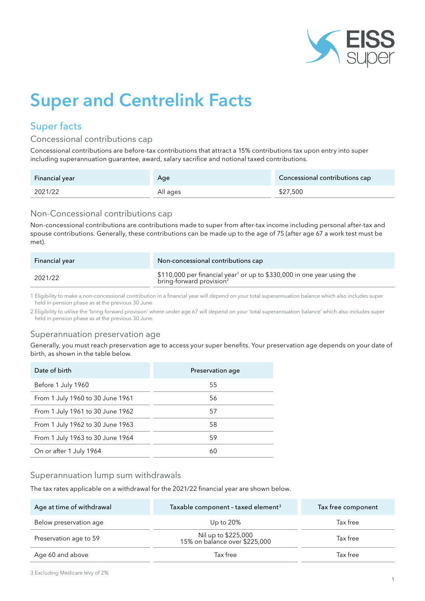

# Super and Centrelink Facts

## Super facts

#### Concessional contributions cap

Concessional contributions are before-tax contributions that attract a 15% contributions tax upon entry into super including superannuation guarantee, award, salary sacrifice and notional taxed contributions.

| Financial year | Age      | Concessional contributions cap |
|----------------|----------|--------------------------------|
| 2021/22        | All ages | \$27,500                       |

#### Non-Concessional contributions cap

Non-concessional contributions are contributions made to super from after-tax income including personal after-tax and spouse contributions. Generally, these contributions can be made up to the age of 75 (after age 67 a work test must be met).

| Financial year | Non-concessional contributions cap                                                                                         |
|----------------|----------------------------------------------------------------------------------------------------------------------------|
| 2021/22        | \$110,000 per financial year <sup>1</sup> or up to \$330,000 in one year using the<br>bring-forward provision <sup>2</sup> |

1 Eligibility to make a non-concessional contribution in a financial year will depend on your total superannuation balance which also includes super held in pension phase as at the previous 30 June.

2 Eligibility to utilise the 'bring-forward provision' where under age 67 will depend on your 'total superannuation balance' which also includes super held in pension phase as at the previous 30 June.

#### Superannuation preservation age

Generally, you must reach preservation age to access your super benefits. Your preservation age depends on your date of birth, as shown in the table below.

| Date of birth                    | Preservation age |
|----------------------------------|------------------|
| Before 1 July 1960               | 55               |
| From 1 July 1960 to 30 June 1961 | 56               |
| From 1 July 1961 to 30 June 1962 | 57               |
| From 1 July 1962 to 30 June 1963 | 58               |
| From 1 July 1963 to 30 June 1964 | 59               |
| On or after 1 July 1964          | 60               |

#### Superannuation lump sum withdrawals

The tax rates applicable on a withdrawal for the 2021/22 financial year are shown below.

| Age at time of withdrawal | Taxable component - taxed element <sup>3</sup>       | Tax free component |
|---------------------------|------------------------------------------------------|--------------------|
| Below preservation age    | Up to $20\%$                                         | Tax free           |
| Preservation age to 59    | Nil up to \$225,000<br>15% on balance over \$225,000 | Tax free           |
| Age 60 and above          | Tax free                                             | Tax free           |

3 Excluding Medicare levy of 2%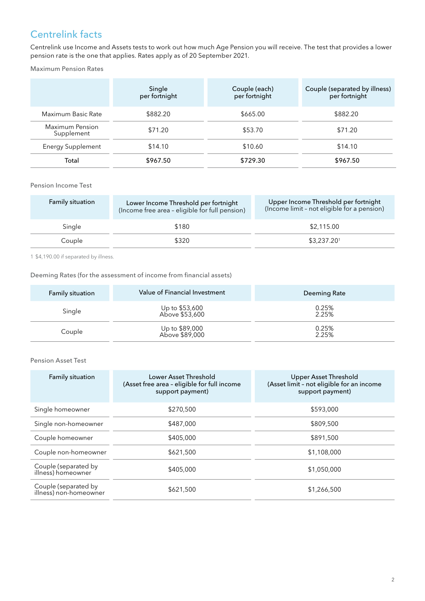# Centrelink facts

Centrelink use Income and Assets tests to work out how much Age Pension you will receive. The test that provides a lower pension rate is the one that applies. Rates apply as of 20 September 2021.

Maximum Pension Rates

|                               | Single<br>per fortnight | Couple (each)<br>per fortnight | Couple (separated by illness)<br>per fortnight |
|-------------------------------|-------------------------|--------------------------------|------------------------------------------------|
| Maximum Basic Rate            | \$882.20                | \$665.00                       | \$882.20                                       |
| Maximum Pension<br>Supplement | \$71.20                 | \$53.70                        | \$71.20                                        |
| Energy Supplement             | \$14.10                 | \$10.60                        | \$14.10                                        |
| Total                         | \$967.50                | \$729.30                       | \$967.50                                       |

#### Pension Income Test

| <b>Family situation</b> | Lower Income Threshold per fortnight<br>(Income free area - eligible for full pension) | Upper Income Threshold per fortnight<br>(Income limit - not eligible for a pension) |
|-------------------------|----------------------------------------------------------------------------------------|-------------------------------------------------------------------------------------|
| Single                  | \$180                                                                                  | \$2,115.00                                                                          |
| Couple                  | \$320                                                                                  | \$3,237.201                                                                         |

1 \$4,190.00 if separated by illness.

#### Deeming Rates (for the assessment of income from financial assets)

| <b>Family situation</b> | Value of Financial Investment    | Deeming Rate   |
|-------------------------|----------------------------------|----------------|
| Single                  | Up to \$53,600<br>Above \$53,600 | 0.25%<br>2.25% |
| Couple                  | Up to \$89,000<br>Above \$89,000 | 0.25%<br>2.25% |

#### Pension Asset Test

| Family situation                               | Lower Asset Threshold<br>(Asset free area - eligible for full income<br>support payment) | Upper Asset Threshold<br>(Asset limit - not eligible for an income<br>support payment) |
|------------------------------------------------|------------------------------------------------------------------------------------------|----------------------------------------------------------------------------------------|
| Single homeowner                               | \$270,500                                                                                | \$593,000                                                                              |
| Single non-homeowner                           | \$487,000                                                                                | \$809,500                                                                              |
| Couple homeowner                               | \$405,000                                                                                | \$891,500                                                                              |
| Couple non-homeowner                           | \$621,500                                                                                | \$1,108,000                                                                            |
| Couple (separated by<br>illness) homeowner     | \$405,000                                                                                | \$1,050,000                                                                            |
| Couple (separated by<br>illness) non-homeowner | \$621,500                                                                                | \$1,266,500                                                                            |